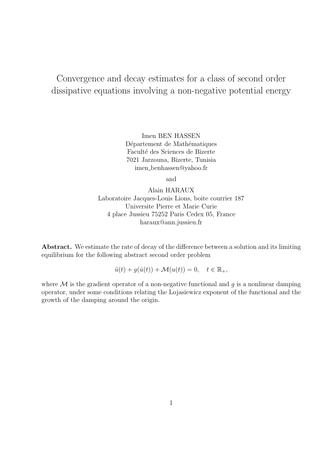# Convergence and decay estimates for a class of second order dissipative equations involving a non-negative potential energy

Imen BEN HASSEN Département de Mathématiques Faculté des Sciences de Bizerte 7021 Jarzouna, Bizerte, Tunisia imen benhassen@yahoo.fr

and

Alain HARAUX Laboratoire Jacques-Louis Lions, boite courrier 187 Universite Pierre et Marie Curie 4 place Jussieu 75252 Paris Cedex 05, France haraux@ann.jussieu.fr

Abstract. We estimate the rate of decay of the difference between a solution and its limiting equilibrium for the following abstract second order problem

 $\ddot{u}(t) + g(\dot{u}(t)) + \mathcal{M}(u(t)) = 0, \quad t \in \mathbb{R}_+,$ 

where  $\mathcal M$  is the gradient operator of a non-negative functional and  $g$  is a nonlinear damping operator, under some conditions relating the Lojasiewicz exponent of the functional and the growth of the damping around the origin.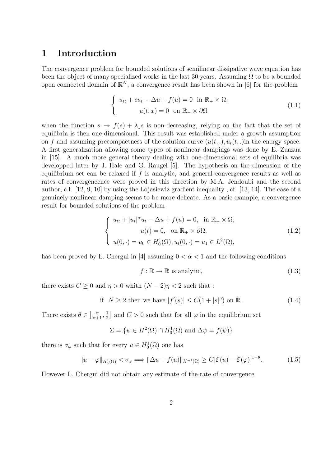## 1 Introduction

The convergence problem for bounded solutions of semilinear dissipative wave equation has been the object of many specialized works in the last 30 years. Assuming  $\Omega$  to be a bounded open connected domain of  $\mathbb{R}^N$ , a convergence result has been shown in [6] for the problem

$$
\begin{cases}\n u_{tt} + cu_t - \Delta u + f(u) = 0 \quad \text{in } \mathbb{R}_+ \times \Omega, \\
 u(t, x) = 0 \quad \text{on } \mathbb{R}_+ \times \partial\Omega\n\end{cases}
$$
\n(1.1)

when the function  $s \to f(s) + \lambda_1 s$  is non-decreasing, relying on the fact that the set of equilibria is then one-dimensional. This result was established under a growth assumption on f and assuming precompactness of the solution curve  $(u(t, .), u_t(t, .))$  in the energy space. A first generalization allowing some types of nonlinear dampings was done by E. Zuazua in [15]. A much more general theory dealing with one-dimensional sets of equilibria was developped later by J. Hale and G. Raugel [5]. The hypothesis on the dimension of the equilibrium set can be relaxed if  $f$  is analytic, and general convergence results as well as rates of convergencence were proved in this direction by M.A. Jendoubi and the second author, c.f. [12, 9, 10] by using the Lojasiewiz gradient inequality , cf. [13, 14]. The case of a genuinely nonlinear damping seems to be more delicate. As a basic example, a convergence result for bounded solutions of the problem

$$
\begin{cases}\n u_{tt} + |u_t|^{\alpha} u_t - \Delta u + f(u) = 0, & \text{in } \mathbb{R}_+ \times \Omega, \\
 u(t) = 0, & \text{on } \mathbb{R}_+ \times \partial \Omega, \\
 u(0, \cdot) = u_0 \in H_0^1(\Omega), u_t(0, \cdot) = u_1 \in L^2(\Omega),\n\end{cases}
$$
\n(1.2)

has been proved by L. Chergui in [4] assuming  $0 < \alpha < 1$  and the following conditions

$$
f: \mathbb{R} \to \mathbb{R} \text{ is analytic},\tag{1.3}
$$

there exists  $C \geq 0$  and  $\eta > 0$  whith  $(N - 2)\eta < 2$  such that :

if 
$$
N \ge 2
$$
 then we have  $|f'(s)| \le C(1+|s|^\eta)$  on R. (1.4)

There exists  $\theta \in \left] \frac{\alpha}{\alpha+1}, \frac{1}{2} \right]$  $\frac{1}{2}$  and  $C > 0$  such that for all  $\varphi$  in the equilibrium set

$$
\Sigma = \{ \psi \in H^2(\Omega) \cap H_0^1(\Omega) \text{ and } \Delta \psi = f(\psi) \}
$$

there is  $\sigma_{\varphi}$  such that for every  $u \in H_0^1(\Omega)$  one has

$$
||u - \varphi||_{H_0^1(\Omega)} < \sigma_\varphi \Longrightarrow ||\Delta u + f(u)||_{H^{-1}(\Omega)} \ge C|\mathcal{E}(u) - \mathcal{E}(\varphi)|^{1-\theta}.
$$
 (1.5)

However L. Chergui did not obtain any estimate of the rate of convergence.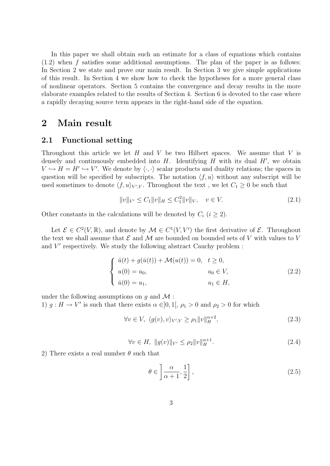In this paper we shall obtain such an estimate for a class of equations which contains  $(1.2)$  when f satisfies some additional assumptions. The plan of the paper is as follows: In Section 2 we state and prove our main result. In Section 3 we give simple applications of this result. In Section 4 we show how to check the hypotheses for a more general class of nonlinear operators. Section 5 contains the convergence and decay results in the more elaborate examples related to the results of Section 4. Section 6 is devoted to the case where a rapidly decaying source term appears in the right-hand side of the equation.

### 2 Main result

#### 2.1 Functional setting

Throughout this article we let  $H$  and  $V$  be two Hilbert spaces. We assume that  $V$  is densely and continuously embedded into  $H$ . Identifying  $H$  with its dual  $H'$ , we obtain  $V \hookrightarrow H = H' \hookrightarrow V'$ . We denote by  $\langle \cdot, \cdot \rangle$  scalar products and duality relations; the spaces in question will be specified by subscripts. The notation  $\langle f, u \rangle$  without any subscript will be used sometimes to denote  $\langle f, u \rangle_{V', V}$ . Throughout the text, we let  $C_1 \geq 0$  be such that

$$
||v||_{V'} \le C_1 ||v||_H \le C_1^2 ||v||_V, \quad v \in V. \tag{2.1}
$$

Other constants in the calculations will be denoted by  $C_i$   $(i \geq 2)$ .

Let  $\mathcal{E} \in C^2(V,\mathbb{R})$ , and denote by  $\mathcal{M} \in C^1(V,V')$  the first derivative of  $\mathcal{E}$ . Throughout the text we shall assume that  $\mathcal E$  and  $\mathcal M$  are bounded on bounded sets of V with values to V and  $V'$  respectively. We study the following abstract Cauchy problem :

$$
\begin{cases}\n\ddot{u}(t) + g(\dot{u}(t)) + \mathcal{M}(u(t)) = 0, & t \ge 0, \\
u(0) = u_0, & u_0 \in V, \\
\dot{u}(0) = u_1, & u_1 \in H,\n\end{cases}
$$
\n(2.2)

under the following assumptions on  $q$  and  $\mathcal M$ : 1)  $g: H \to V'$  is such that there exists  $\alpha \in ]0,1[$ ,  $\rho_1 > 0$  and  $\rho_2 > 0$  for which

$$
\forall v \in V, \ \langle g(v), v \rangle_{V', V} \ge \rho_1 \|v\|_H^{\alpha+2}, \tag{2.3}
$$

$$
\forall v \in H, \ \|g(v)\|_{V'} \le \rho_2 \|v\|_H^{\alpha+1}.
$$
\n(2.4)

2) There exists a real number  $\theta$  such that

$$
\theta \in \left] \frac{\alpha}{\alpha + 1}, \frac{1}{2} \right],\tag{2.5}
$$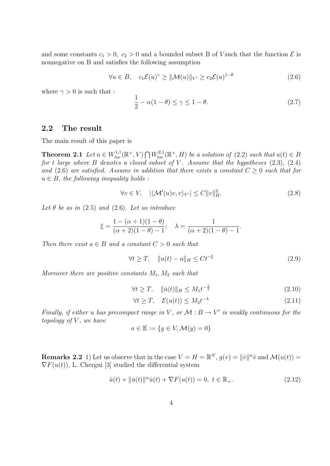and some constants  $c_1 > 0$ ,  $c_2 > 0$  and a bounded subset B of V such that the function  $\mathcal E$  is nonnegative on B and satisfies the following assumption

$$
\forall u \in B, \quad c_1 \mathcal{E}(u)^\gamma \ge ||\mathcal{M}(u)||_{V'} \ge c_2 \mathcal{E}(u)^{1-\theta} \tag{2.6}
$$

where  $\gamma > 0$  is such that :

$$
\frac{1}{2} - \alpha(1 - \theta) \le \gamma \le 1 - \theta.
$$
\n(2.7)

### 2.2 The result

The main result of this paper is

**Theorem 2.1** Let  $u \in W_{loc}^{1,1}(\mathbb{R}^+, V) \cap W_{loc}^{2,1}(\mathbb{R}^+, H)$  be a solution of (2.2) such that  $u(t) \in B$ for t large where B denotes a closed subset of V. Assume that the hypotheses  $(2.3)$ ,  $(2.4)$ and (2.6) are satisfied. Assume in addition that there exists a constant  $C \geq 0$  such that for  $u \in B$ , the following inequality holds:

$$
\forall v \in V, \quad |\langle \mathcal{M}'(u)v, v \rangle_{V'}| \le C ||v||_H^2. \tag{2.8}
$$

Let  $\theta$  be as in (2.5) and (2.6). Let us introduce

$$
\xi = \frac{1 - (\alpha + 1)(1 - \theta)}{(\alpha + 2)(1 - \theta) - 1}; \quad \lambda = \frac{1}{(\alpha + 2)(1 - \theta) - 1}.
$$

Then there exist  $a \in B$  and a constant  $C > 0$  such that

$$
\forall t \ge T, \quad \|u(t) - a\|_{H} \le Ct^{-\xi}
$$
\n(2.9)

Moreover there are positive constants  $M_1, M_2$  such that

$$
\forall t \ge T, \quad \|\dot{u}(t)\|_{H} \le M_1 t^{-\frac{\lambda}{2}} \tag{2.10}
$$

$$
\forall t \ge T, \quad \mathcal{E}(u(t)) \le M_2 t^{-\lambda} \tag{2.11}
$$

Finally, if either u has precompact range in V, or  $\mathcal{M}: B \to V'$  is weakly continuous for the topology of  $V$ , we have

$$
a \in \mathbb{E} := \{ y \in V, \mathcal{M}(y) = 0 \}
$$

**Remarks 2.2** 1) Let us observe that in the case  $V = H = \mathbb{R}^N$ ,  $g(v) = ||\dot{v}||^{\alpha} \dot{v}$  and  $\mathcal{M}(u(t)) =$  $\nabla F(u(t))$ , L. Chergui [3] studied the differential system

$$
\ddot{u}(t) + \|\dot{u}(t)\|^\alpha \dot{u}(t) + \nabla F(u(t)) = 0, \ t \in \mathbb{R}_+.
$$
\n(2.12)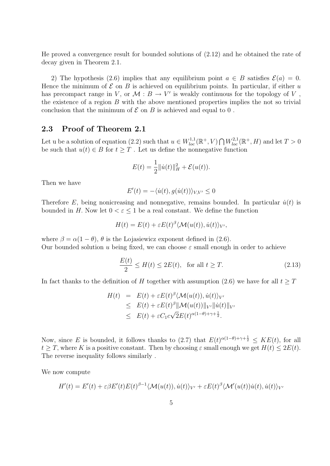He proved a convergence result for bounded solutions of (2.12) and he obtained the rate of decay given in Theorem 2.1.

2) The hypothesis (2.6) implies that any equilibrium point  $a \in B$  satisfies  $\mathcal{E}(a) = 0$ . Hence the minimum of  $\mathcal E$  on  $B$  is achieved on equilibrium points. In particular, if either u has precompact range in V, or  $\mathcal{M}: B \to V'$  is weakly continuous for the topology of V, the existence of a region  $B$  with the above mentioned properties implies the not so trivial conclusion that the minimum of  $\mathcal E$  on  $B$  is achieved and equal to 0.

### 2.3 Proof of Theorem 2.1

Let u be a solution of equation (2.2) such that  $u \in W_{loc}^{1,1}(\mathbb{R}^+, V) \cap W_{loc}^{2,1}(\mathbb{R}^+, H)$  and let  $T > 0$ be such that  $u(t) \in B$  for  $t \geq T$ . Let us define the nonnegative function

$$
E(t) = \frac{1}{2} ||\dot{u}(t)||_H^2 + \mathcal{E}(u(t)).
$$

Then we have

$$
E'(t) = -\langle \dot{u}(t), g(\dot{u}(t)) \rangle_{V,V'} \le 0
$$

Therefore E, being nonicreasing and nonnegative, remains bounded. In particular  $\dot{u}(t)$  is bounded in H. Now let  $0 < \varepsilon < 1$  be a real constant. We define the function

$$
H(t) = E(t) + \varepsilon E(t)^{\beta} \langle \mathcal{M}(u(t)), \dot{u}(t) \rangle_{V'},
$$

where  $\beta = \alpha(1 - \theta)$ ,  $\theta$  is the Lojasiewicz exponent defined in (2.6). Our bounded solution u being fixed, we can choose  $\varepsilon$  small enough in order to achieve

$$
\frac{E(t)}{2} \le H(t) \le 2E(t), \quad \text{for all } t \ge T. \tag{2.13}
$$

In fact thanks to the definition of H together with assumption (2.6) we have for all  $t > T$ 

$$
H(t) = E(t) + \varepsilon E(t)^{\beta} \langle \mathcal{M}(u(t)), \dot{u}(t) \rangle_{V'}
$$
  
\n
$$
\leq E(t) + \varepsilon E(t)^{\beta} ||\mathcal{M}(u(t))||_{V'} ||\dot{u}(t)||_{V'}
$$
  
\n
$$
\leq E(t) + \varepsilon C_1 c \sqrt{2} E(t)^{\alpha(1-\theta)+\gamma+\frac{1}{2}}.
$$

Now, since E is bounded, it follows thanks to (2.7) that  $E(t)^{\alpha(1-\theta)+\gamma+\frac{1}{2}} \leq KE(t)$ , for all  $t \geq T$ , where K is a positive constant. Then by choosing  $\varepsilon$  small enough we get  $H(t) \leq 2E(t)$ . The reverse inequality follows similarly .

We now compute

$$
H'(t) = E'(t) + \varepsilon \beta E'(t) E(t)^{\beta - 1} \langle \mathcal{M}(u(t)), \dot{u}(t) \rangle_{V'} + \varepsilon E(t)^{\beta} \langle \mathcal{M}'(u(t))\dot{u}(t), \dot{u}(t) \rangle_{V'}
$$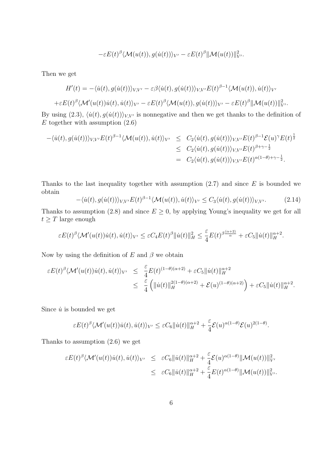$$
-\varepsilon E(t)^{\beta} \langle \mathcal{M}(u(t)), g(\dot{u}(t)) \rangle_{V'} - \varepsilon E(t)^{\beta} ||\mathcal{M}(u(t))||_{V'}^2.
$$

Then we get

$$
H'(t) = -\langle \dot{u}(t), g(\dot{u}(t)) \rangle_{V,V'} - \varepsilon \beta \langle \dot{u}(t), g(\dot{u}(t)) \rangle_{V,V'} E(t)^{\beta - 1} \langle \mathcal{M}(u(t)), \dot{u}(t) \rangle_{V'}
$$
  
 
$$
+ \varepsilon E(t)^{\beta} \langle \mathcal{M}'(u(t))\dot{u}(t), \dot{u}(t) \rangle_{V'} - \varepsilon E(t)^{\beta} \langle \mathcal{M}(u(t)), g(\dot{u}(t)) \rangle_{V'} - \varepsilon E(t)^{\beta} ||\mathcal{M}(u(t))||_{V'}^2.
$$

By using (2.3),  $\langle \dot{u}(t), g(\dot{u}(t)) \rangle_{V,V'}$  is nonnegative and then we get thanks to the definition of  $E$  together with assumption  $(2.6)$ 

$$
-\langle \dot{u}(t), g(\dot{u}(t)) \rangle_{V,V'} E(t)^{\beta-1} \langle \mathcal{M}(u(t)), \dot{u}(t) \rangle_{V'} \leq C_2 \langle \dot{u}(t), g(\dot{u}(t)) \rangle_{V,V'} E(t)^{\beta-1} \mathcal{E}(u)^\gamma E(t)^{\frac{1}{2}}
$$
  

$$
\leq C_2 \langle \dot{u}(t), g(\dot{u}(t)) \rangle_{V,V'} E(t)^{\beta+\gamma-\frac{1}{2}}
$$
  

$$
= C_2 \langle \dot{u}(t), g(\dot{u}(t)) \rangle_{V,V'} E(t)^{\alpha(1-\theta)+\gamma-\frac{1}{2}}.
$$

Thanks to the last inequality together with assumption  $(2.7)$  and since E is bounded we obtain

$$
-\langle \dot{u}(t), g(\dot{u}(t)) \rangle_{V,V'} E(t)^{\beta - 1} \langle \mathcal{M}(u(t)), \dot{u}(t) \rangle_{V'} \le C_3 \langle \dot{u}(t), g(\dot{u}(t)) \rangle_{V,V'}.
$$
(2.14)

Thanks to assumption (2.8) and since  $E \geq 0$ , by applying Young's inequality we get for all  $t\geq T$  large enough

$$
\varepsilon E(t)^{\beta} \langle \mathcal{M}'(u(t))\dot{u}(t), \dot{u}(t) \rangle_{V'} \leq \varepsilon C_4 E(t)^{\beta} \|\dot{u}(t)\|_{H}^2 \leq \frac{\varepsilon}{4} E(t)^{\beta \frac{(\alpha+2)}{\alpha}} + \varepsilon C_5 \|\dot{u}(t)\|_{H}^{\alpha+2}.
$$

Now by using the definition of E and  $\beta$  we obtain

$$
\varepsilon E(t)^{\beta} \langle \mathcal{M}'(u(t))\dot{u}(t), \dot{u}(t) \rangle_{V'} \leq \frac{\varepsilon}{4} E(t)^{(1-\theta)(\alpha+2)} + \varepsilon C_5 \|\dot{u}(t)\|_{H}^{\alpha+2}
$$
  

$$
\leq \frac{\varepsilon}{4} \left( \|\dot{u}(t)\|_{H}^{2(1-\theta)(\alpha+2)} + \mathcal{E}(u)^{(1-\theta)(\alpha+2)} \right) + \varepsilon C_5 \|\dot{u}(t)\|_{H}^{\alpha+2}.
$$

Since  $\dot{u}$  is bounded we get

$$
\varepsilon E(t)^{\beta} \langle \mathcal{M}'(u(t))\dot{u}(t), \dot{u}(t) \rangle_{V'} \leq \varepsilon C_6 \| \dot{u}(t) \|_{H}^{\alpha+2} + \frac{\varepsilon}{4} \mathcal{E}(u)^{\alpha(1-\theta)} \mathcal{E}(u)^{2(1-\theta)}.
$$

Thanks to assumption (2.6) we get

$$
\varepsilon E(t)^{\beta} \langle \mathcal{M}'(u(t))\dot{u}(t), \dot{u}(t) \rangle_{V'} \leq \varepsilon C_6 \|\dot{u}(t)\|_{H}^{\alpha+2} + \frac{\varepsilon}{4} \mathcal{E}(u)^{\alpha(1-\theta)} \|\mathcal{M}(u(t))\|_{V'}^2
$$
  

$$
\leq \varepsilon C_6 \|\dot{u}(t)\|_{H}^{\alpha+2} + \frac{\varepsilon}{4} E(t)^{\alpha(1-\theta)} \|\mathcal{M}(u(t))\|_{V'}^2.
$$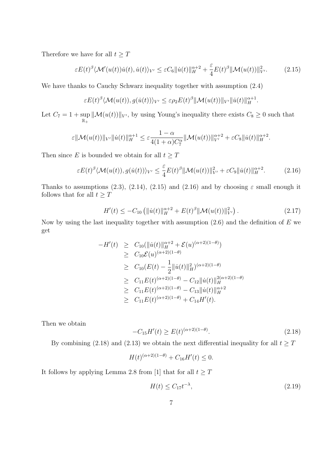Therefore we have for all  $t\geq T$ 

$$
\varepsilon E(t)^{\beta} \langle \mathcal{M}'(u(t))\dot{u}(t), \dot{u}(t) \rangle_{V'} \leq \varepsilon C_6 \| \dot{u}(t) \|_{H}^{\alpha+2} + \frac{\varepsilon}{4} E(t)^{\beta} \| \mathcal{M}(u(t)) \|_{V'}^2.
$$
 (2.15)

We have thanks to Cauchy Schwarz inequality together with assumption (2.4)

$$
\varepsilon E(t)^{\beta} \langle \mathcal{M}(u(t)), g(\dot{u}(t)) \rangle_{V'} \leq \varepsilon \rho_2 E(t)^{\beta} \|\mathcal{M}(u(t))\|_{V'} \|\dot{u}(t)\|_{H}^{\alpha+1}.
$$

Let  $C_7 = 1 + \sup$  $\mathbb{R}_+$  $\|\mathcal{M}(u(t))\|_{V'}$ , by using Young's inequality there exists  $C_8 \geq 0$  such that

$$
\varepsilon \|\mathcal{M}(u(t))\|_{V'}\| \dot{u}(t)\|_H^{\alpha+1} \leq \varepsilon \frac{1-\alpha}{4(1+\alpha)C_7^\alpha}\|\mathcal{M}(u(t))\|_{V'}^{\alpha+2} + \varepsilon C_8\|\dot{u}(t)\|_H^{\alpha+2}.
$$

Then since  $E$  is bounded we obtain for all  $t\geq T$ 

$$
\varepsilon E(t)^{\beta} \langle \mathcal{M}(u(t)), g(\dot{u}(t)) \rangle_{V'} \leq \frac{\varepsilon}{4} E(t)^{\beta} \|\mathcal{M}(u(t))\|_{V'}^2 + \varepsilon C_9 \|\dot{u}(t)\|_{H}^{\alpha+2}.
$$
 (2.16)

Thanks to assumptions (2.3), (2.14), (2.15) and (2.16) and by choosing  $\varepsilon$  small enough it follows that for all  $t\geq T$ 

$$
H'(t) \le -C_{10} \left( \|\dot{u}(t)\|_{H}^{\alpha+2} + E(t)^{\beta} \|\mathcal{M}(u(t))\|_{V'}^2 \right). \tag{2.17}
$$

Now by using the last inequality together with assumption  $(2.6)$  and the definition of E we get

$$
-H'(t) \geq C_{10}(\|\dot{u}(t)\|_{H}^{\alpha+2} + \mathcal{E}(u)^{(\alpha+2)(1-\theta)})
$$
  
\n
$$
\geq C_{10}\mathcal{E}(u)^{(\alpha+2)(1-\theta)}
$$
  
\n
$$
\geq C_{10}(E(t) - \frac{1}{2}\|\dot{u}(t)\|_{H}^{2})^{(\alpha+2)(1-\theta)}
$$
  
\n
$$
\geq C_{11}E(t)^{(\alpha+2)(1-\theta)} - C_{12}\|\dot{u}(t)\|_{H}^{2(\alpha+2)(1-\theta)}
$$
  
\n
$$
\geq C_{11}E(t)^{(\alpha+2)(1-\theta)} - C_{13}\|\dot{u}(t)\|_{H}^{\alpha+2}
$$
  
\n
$$
\geq C_{11}E(t)^{(\alpha+2)(1-\theta)} + C_{14}H'(t).
$$

Then we obtain

$$
-C_{15}H'(t) \ge E(t)^{(\alpha+2)(1-\theta)}.
$$
\n(2.18)

By combining (2.18) and (2.13) we obtain the next differential inequality for all  $t \geq T$ 

$$
H(t)^{(\alpha+2)(1-\theta)} + C_{16}H'(t) \le 0.
$$

It follows by applying Lemma 2.8 from [1] that for all  $t \geq T$ 

$$
H(t) \le C_{17} t^{-\lambda},\tag{2.19}
$$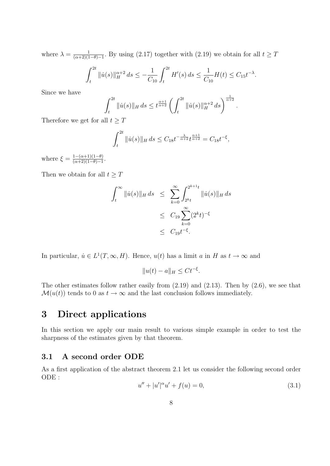where  $\lambda = \frac{1}{(\alpha+2)(1)}$  $\frac{1}{(\alpha+2)(1-\theta)-1}$ . By using (2.17) together with (2.19) we obtain for all  $t \geq T$ 

$$
\int_{t}^{2t} \|\dot{u}(s)\|_{H}^{\alpha+2} ds \leq -\frac{1}{C_{10}} \int_{t}^{2t} H'(s) ds \leq \frac{1}{C_{10}} H(t) \leq C_{15} t^{-\lambda}.
$$

Since we have

$$
\int_{t}^{2t} \|\dot{u}(s)\|_{H} ds \leq t^{\frac{\alpha+1}{\alpha+2}} \left( \int_{t}^{2t} \|\dot{u}(s)\|_{H}^{\alpha+2} ds \right)^{\frac{1}{\alpha+2}}.
$$

Therefore we get for all  $t \geq T$ 

$$
\int_{t}^{2t} \|\dot{u}(s)\|_{H} ds \leq C_{18} t^{-\frac{\lambda}{\alpha+2}} t^{\frac{\alpha+1}{\alpha+2}} = C_{18} t^{-\xi},
$$

where  $\xi = \frac{1-(\alpha+1)(1-\theta)}{(\alpha+2)(1-\theta)-1}$  $\frac{1-(\alpha+1)(1-\theta)}{(\alpha+2)(1-\theta)-1}.$ 

Then we obtain for all  $t \geq T$ 

$$
\int_{t}^{\infty} \|\dot{u}(s)\|_{H} ds \leq \sum_{k=0}^{\infty} \int_{2^{k}t}^{2^{k+1}t} \|\dot{u}(s)\|_{H} ds
$$
  

$$
\leq C_{19} \sum_{k=0}^{\infty} (2^{k}t)^{-\xi}
$$
  

$$
\leq C_{19} t^{-\xi}.
$$

In particular,  $\dot{u} \in L^1(T, \infty, H)$ . Hence,  $u(t)$  has a limit a in H as  $t \to \infty$  and

$$
||u(t) - a||_H \le Ct^{-\xi}.
$$

The other estimates follow rather easily from  $(2.19)$  and  $(2.13)$ . Then by  $(2.6)$ , we see that  $\mathcal{M}(u(t))$  tends to 0 as  $t \to \infty$  and the last conclusion follows immediately.

# 3 Direct applications

In this section we apply our main result to various simple example in order to test the sharpness of the estimates given by that theorem.

### 3.1 A second order ODE

As a first application of the abstract theorem 2.1 let us consider the following second order ODE :

$$
u'' + |u'|^{\alpha} u' + f(u) = 0,
$$
\n(3.1)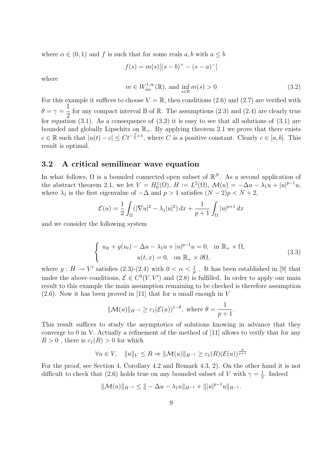where  $\alpha \in (0,1)$  and f is such that for some reals  $a, b$  with  $a \leq b$ 

$$
f(s) = m(s)[(s-b)^+ - (s-a)^-]
$$

where

$$
m \in W_{loc}^{1,\infty}(\mathbb{R}), \text{ and } \inf_{s \in \mathbb{R}} m(s) > 0
$$
\n
$$
(3.2)
$$

For this example it suffices to choose  $V = \mathbb{R}$ , then conditions (2.6) and (2.7) are verified with  $\theta = \gamma =$ 1 2 for any compact interval B of  $\mathbb R$ . The assumptions  $(2.3)$  and  $(2.4)$  are clearly true for equation (3.1). As a consequence of  $(3.2)$  it is easy to see that all solutions of  $(3.1)$  are bounded and globally Lipschitz on  $\mathbb{R}_+$ . By applying theorem 2.1 we prove that there exists  $c \in \mathbb{R}$  such that  $|u(t) - c| \leq C t^{-\frac{1}{\alpha}+1}$ , where C is a positive constant. Clearly  $c \in [a, b]$ . This result is optimal.

### 3.2 A critical semilinear wave equation

In what follows,  $\Omega$  is a bounded connected open subset of  $\mathbb{R}^N$ . As a second application of the abstract theorem 2.1, we let  $V = H_0^1(\Omega)$ ,  $H := L^2(\Omega)$ ,  $\mathcal{M}(u) = -\Delta u - \lambda_1 u + |u|^{p-1}u$ , where  $\lambda_1$  is the first eigenvalue of  $-\Delta$  and  $p > 1$  satisfies  $(N - 2)p < N + 2$ ,

$$
\mathcal{E}(u) = \frac{1}{2} \int_{\Omega} (|\nabla u|^2 - \lambda_1 |u|^2) \, dx + \frac{1}{p+1} \int_{\Omega} |u|^{p+1} \, dx
$$

and we consider the following system

$$
\begin{cases}\n u_{tt} + g(u_t) - \Delta u - \lambda_1 u + |u|^{p-1} u = 0, & \text{in } \mathbb{R}_+ \times \Omega, \\
 u(t, x) = 0, & \text{on } \mathbb{R}_+ \times \partial\Omega,\n\end{cases}
$$
\n(3.3)

where  $g: H \to V'$  satisfies  $(2.3)-(2.4)$  with  $0 < \alpha < \frac{1}{p}$ . It has been established in [9] that under the above conditions,  $\mathcal{E} \in C^2(V, V')$  and (2.8) is fulfilled. In order to apply our main result to this example the main assumption remaining to be checked is therefore assumption  $(2.6)$ . Now it has been proved in [11] that for u small enough in V

$$
\|\mathcal{M}(u)\|_{H^{-1}} \ge c_1(\mathcal{E}(u))^{1-\theta}, \text{ where } \theta = \frac{1}{p+1}.
$$

This result suffices to study the asymptotics of solutions knowing in advance that they converge to 0 in V. Actually a refinement of the method of [11] allows to verify that for any  $R > 0$ , there is  $c_1(R) > 0$  for which

$$
\forall u \in V, \quad ||u||_V \le R \Rightarrow ||\mathcal{M}(u)||_{H^{-1}} \ge c_1(R)(\mathcal{E}(u))^{\frac{p}{p+1}}
$$

For the proof, see Section 4, Corollary 4.2 and Remark 4.3, 2). On the other hand it is not difficult to check that (2.6) holds true on any bounded subset of V with  $\gamma = \frac{1}{2}$  $\frac{1}{2}$ . Indeed

$$
\|\mathcal{M}(u)\|_{H^{-1}} \leq \|\cos \lambda_1 u\|_{H^{-1}} + \||u|^{p-1}u\|_{H^{-1}}.
$$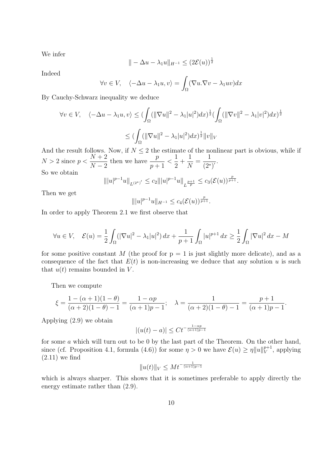We infer

$$
\| - \Delta u - \lambda_1 u \|_{H^{-1}} \leq (2\mathcal{E}(u))^{\frac{1}{2}}
$$

Indeed

$$
\forall v \in V, \quad \langle -\Delta u - \lambda_1 u, v \rangle = \int_{\Omega} (\nabla u. \nabla v - \lambda_1 uv) dx
$$

By Cauchy-Schwarz inequality we deduce

$$
\forall v \in V, \quad \langle -\Delta u - \lambda_1 u, v \rangle \le \left( \int_{\Omega} (\|\nabla u\|^2 - \lambda_1 |u|^2) dx \right)^{\frac{1}{2}} \left( \int_{\Omega} (\|\nabla v\|^2 - \lambda_1 |v|^2) dx \right)^{\frac{1}{2}}
$$

$$
\le \left( \int_{\Omega} (\|\nabla u\|^2 - \lambda_1 |u|^2) dx \right)^{\frac{1}{2}} \|v\|_V
$$

And the result follows. Now, if  $N \leq 2$  the estimate of the nonlinear part is obvious, while if  $N > 2$  since  $p <$  $N+2$  $N-2$ then we have  $\frac{p}{p}$  $p+1$  $\lt$ 1 2 + 1 N = 1  $\frac{1}{(2^*)'}$ . So we obtain

$$
\| |u|^{p-1}u\|_{L^{(2^*)'}}\leq c_2\| |u|^{p-1}u\|_{L^{\frac{p+1}{p}}}\leq c_3(\mathcal{E}(u))^{\frac{p}{p+1}}.
$$

Then we get

$$
\| |u|^{p-1}u\|_{H^{-1}}\leq c_4(\mathcal{E}(u))^\frac{p}{p+1}.
$$

In order to apply Theorem 2.1 we first observe that

$$
\forall u \in V, \quad \mathcal{E}(u) = \frac{1}{2} \int_{\Omega} (|\nabla u|^2 - \lambda_1 |u|^2) \, dx + \frac{1}{p+1} \int_{\Omega} |u|^{p+1} \, dx \ge \frac{1}{2} \int_{\Omega} |\nabla u|^2 \, dx - M
$$

for some positive constant M (the proof for  $p = 1$  is just slightly more delicate), and as a consequence of the fact that  $E(t)$  is non-increasing we deduce that any solution u is such that  $u(t)$  remains bounded in V.

Then we compute

$$
\xi = \frac{1 - (\alpha + 1)(1 - \theta)}{(\alpha + 2)(1 - \theta) - 1} = \frac{1 - \alpha p}{(\alpha + 1)p - 1}; \quad \lambda = \frac{1}{(\alpha + 2)(1 - \theta) - 1} = \frac{p + 1}{(\alpha + 1)p - 1}.
$$

Applying (2.9) we obtain

$$
|(u(t) - a)| \leq Ct^{-\frac{1 - \alpha p}{(\alpha + 1)p - 1}}
$$

for some a which will turn out to be 0 by the last part of the Theorem. On the other hand, since (cf. Proposition 4.1, formula (4.6)) for some  $\eta > 0$  we have  $\mathcal{E}(u) \geq \eta \|u\|_{V}^{p+1}$  $V^{p+1}$ , applying  $(2.11)$  we find

$$
||u(t)||_V \leq Mt^{-\frac{1}{(\alpha+1)p-1}}
$$

which is always sharper. This shows that it is sometimes preferable to apply directly the energy estimate rather than (2.9).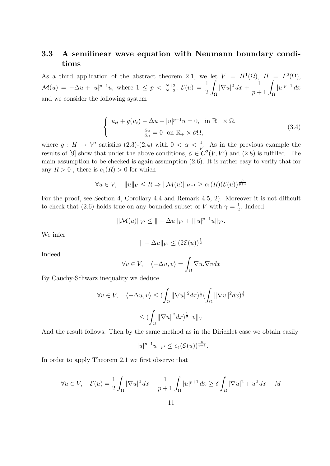## 3.3 A semilinear wave equation with Neumann boundary conditions

As a third application of the abstract theorem 2.1, we let  $V = H<sup>1</sup>(\Omega)$ ,  $H = L<sup>2</sup>(\Omega)$ ,  $\mathcal{M}(u) = -\Delta u + |u|^{p-1}u$ , where  $1 \leq p < \frac{N+2}{N-2}$ ,  $\mathcal{E}(u) = \frac{1}{2}$ 2 Ω  $|\nabla u|^2\,dx +$  $\frac{1}{p+1}\int_{\Omega}$  $|u|^{p+1} dx$ and we consider the following system

$$
\begin{cases}\n u_{tt} + g(u_t) - \Delta u + |u|^{p-1}u = 0, & \text{in } \mathbb{R}_+ \times \Omega, \\
 \frac{\partial u}{\partial n} = 0 & \text{on } \mathbb{R}_+ \times \partial \Omega,\n\end{cases}
$$
\n(3.4)

where  $g: H \to V'$  satisfies (2.3)-(2.4) with  $0 < \alpha < \frac{1}{p}$ . As in the previous example the results of [9] show that under the above conditions,  $\mathcal{E} \in C^2(V, V')$  and (2.8) is fulfilled. The main assumption to be checked is again assumption (2.6). It is rather easy to verify that for any  $R > 0$ , there is  $c_1(R) > 0$  for which

$$
\forall u \in V, \quad ||u||_V \le R \Rightarrow ||\mathcal{M}(u)||_{H^{-1}} \ge c_1(R)(\mathcal{E}(u))^{\frac{p}{p+1}}
$$

For the proof, see Section 4, Corollary 4.4 and Remark 4.5, 2). Moreover it is not difficult to check that (2.6) holds true on any bounded subset of V with  $\gamma = \frac{1}{2}$  $\frac{1}{2}$ . Indeed

$$
\|\mathcal{M}(u)\|_{V'} \leq \|\cos \Delta u\|_{V'} + \||u|^{p-1}u\|_{V'}.
$$

We infer

$$
\| - \Delta u \|_{V'} \leq (2\mathcal{E}(u))^{\frac{1}{2}}
$$

Indeed

$$
\forall v \in V, \quad \langle -\Delta u, v \rangle = \int_{\Omega} \nabla u. \nabla v dx
$$

By Cauchy-Schwarz inequality we deduce

$$
\forall v \in V, \quad \langle -\Delta u, v \rangle \le \left( \int_{\Omega} \|\nabla u\|^2 dx \right)^{\frac{1}{2}} \left( \int_{\Omega} \|\nabla v\|^2 dx \right)^{\frac{1}{2}}
$$

$$
\le \left( \int_{\Omega} \|\nabla u\|^2 dx \right)^{\frac{1}{2}} \|v\|_V
$$

And the result follows. Then by the same method as in the Dirichlet case we obtain easily

$$
\| |u|^{p-1}u\|_{V'}\leq c_4(\mathcal{E}(u))^{\frac{p}{p+1}}.
$$

In order to apply Theorem 2.1 we first observe that

$$
\forall u \in V, \quad \mathcal{E}(u) = \frac{1}{2} \int_{\Omega} |\nabla u|^2 \, dx + \frac{1}{p+1} \int_{\Omega} |u|^{p+1} \, dx \ge \delta \int_{\Omega} |\nabla u|^2 + u^2 \, dx - M
$$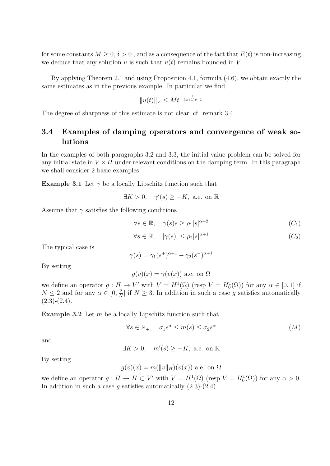for some constants  $M \geq 0, \delta > 0$ , and as a consequence of the fact that  $E(t)$  is non-increasing we deduce that any solution u is such that  $u(t)$  remains bounded in V.

By applying Theorem 2.1 and using Proposition 4.1, formula (4.6), we obtain exactly the same estimates as in the previous example. In particular we find

$$
||u(t)||_V \leq Mt^{-\frac{1}{(\alpha+1)p-1}}
$$

The degree of sharpness of this estimate is not clear, cf. remark  $3.4$ .

### 3.4 Examples of damping operators and convergence of weak solutions

In the examples of both paragraphs 3.2 and 3.3, the initial value problem can be solved for any initial state in  $V \times H$  under relevant conditions on the damping term. In this paragraph we shall consider 2 basic examples

**Example 3.1** Let  $\gamma$  be a locally Lipschitz function such that

 $\exists K > 0$ ,  $\gamma'(s) \geq -K$ , a.e. on R

Assume that  $\gamma$  satisfies the following conditions

$$
\forall s \in \mathbb{R}, \quad \gamma(s)s \ge \rho_1|s|^{\alpha+2} \tag{C_1}
$$

$$
\forall s \in \mathbb{R}, \quad |\gamma(s)| \le \rho_2 |s|^{\alpha + 1} \tag{C_2}
$$

The typical case is

$$
\gamma(s) = \gamma_1(s^+)^{\alpha+1} - \gamma_2(s^-)^{\alpha+1}
$$

By setting

$$
g(v)(x) = \gamma(v(x))
$$
 a.e. on  $\Omega$ 

we define an operator  $g: H \to V'$  with  $V = H^1(\Omega)$  (resp  $V = H_0^1(\Omega)$ ) for any  $\alpha \in [0,1]$  if  $N \leq 2$  and for any  $\alpha \in [0, \frac{2}{N}]$  $\frac{2}{N}$  if  $N \geq 3$ . In addition in such a case g satisfies automatically  $(2.3)-(2.4).$ 

**Example 3.2** Let  $m$  be a locally Lipschitz function such that

$$
\forall s \in \mathbb{R}_+, \quad \sigma_1 s^{\alpha} \le m(s) \le \sigma_2 s^{\alpha} \tag{M}
$$

and

$$
\exists K > 0, \quad m'(s) \ge -K, \text{ a.e. on } \mathbb{R}
$$

By setting

$$
g(v)(x) = m(||v||_H)(v(x))
$$
 a.e. on  $\Omega$ 

we define an operator  $g: H \to H \subset V'$  with  $V = H^1(\Omega)$  (resp  $V = H_0^1(\Omega)$ ) for any  $\alpha > 0$ . In addition in such a case  $g$  satisfies automatically  $(2.3)-(2.4)$ .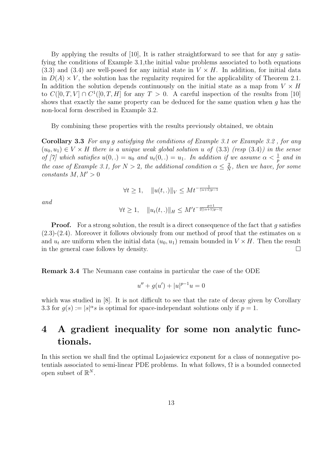By applying the results of  $[10]$ , It is rather straightforward to see that for any g satisfying the conditions of Example 3.1,the initial value problems associated to both equations  $(3.3)$  and  $(3.4)$  are well-posed for any initial state in  $V \times H$ . In addition, for initial data in  $D(A) \times V$ , the solution has the regularity required for the applicability of Theorem 2.1. In addition the solution depends continuously on the initial state as a map from  $V \times H$ to  $C([0,T,V] \cap C^1([0,T,H])$  for any  $T > 0$ . A careful inspection of the results from [10] shows that exactly the same property can be deduced for the same quation when g has the non-local form described in Example 3.2.

By combining these properties with the results previously obtained, we obtain

Corollary 3.3 For any g satisfying the conditions of Example 3.1 or Example 3.2 , for any  $(u_0, u_1) \in V \times H$  there is a unique weak global solution u of (3.3) (resp (3.4)) in the sense of [7] which satisfies  $u(0,.) = u_0$  and  $u_t(0,.) = u_1$ . In addition if we assume  $\alpha < \frac{1}{p}$  and in the case of Example 3.1, for  $N > 2$ , the additional condition  $\alpha \leq \frac{2}{N}$  $\frac{2}{N}$ , then we have, for some constants  $M, M' > 0$ 

$$
\forall t \ge 1, \quad \|u(t,.)\|_{V} \le Mt^{-\frac{1}{(\alpha+1)p-1}}
$$

and

$$
\forall t \ge 1, \quad \|u_t(t,.)\|_H \le M' t^{-\frac{p+1}{2[(\alpha+1)p-1]}}
$$

**Proof.** For a strong solution, the result is a direct consequence of the fact that  $q$  satisfies  $(2.3)-(2.4)$ . Moreover it follows obviously from our method of proof that the estimates on u and  $u_t$  are uniform when the initial data  $(u_0, u_1)$  remain bounded in  $V \times H$ . Then the result in the general case follows by density.

Remark 3.4 The Neumann case contains in particular the case of the ODE

$$
u'' + g(u') + |u|^{p-1}u = 0
$$

which was studied in [8]. It is not difficult to see that the rate of decay given by Corollary 3.3 for  $g(s) := |s|^\alpha s$  is optimal for space-independant solutions only if  $p = 1$ .

# 4 A gradient inequality for some non analytic functionals.

In this section we shall find the optimal Lojasiewicz exponent for a class of nonnegative potentials associated to semi-linear PDE problems. In what follows,  $\Omega$  is a bounded connected open subset of  $\mathbb{R}^N$ .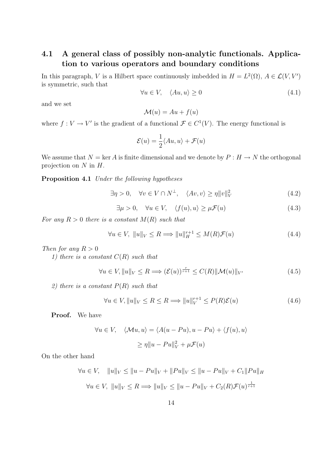## 4.1 A general class of possibly non-analytic functionals. Application to various operators and boundary conditions

In this paragraph, V is a Hilbert space continuously imbedded in  $H = L^2(\Omega)$ ,  $A \in \mathcal{L}(V, V')$ is symmetric, such that

$$
\forall u \in V, \quad \langle Au, u \rangle \ge 0 \tag{4.1}
$$

and we set

$$
\mathcal{M}(u) = Au + f(u)
$$

where  $f: V \to V'$  is the gradient of a functional  $\mathcal{F} \in C^1(V)$ . The energy functional is

$$
\mathcal{E}(u) = \frac{1}{2} \langle Au, u \rangle + \mathcal{F}(u)
$$

We assume that  $N = \ker A$  is finite dimensional and we denote by  $P : H \to N$  the orthogonal projection on  $N$  in  $H$ .

Proposition 4.1 Under the following hypotheses

$$
\exists \eta > 0, \quad \forall v \in V \cap N^{\perp}, \quad \langle Av, v \rangle \ge \eta \|v\|_V^2 \tag{4.2}
$$

 $\exists \mu > 0, \quad \forall u \in V, \quad \langle f(u), u \rangle \geq \mu \mathcal{F}(u)$  (4.3)

For any  $R > 0$  there is a constant  $M(R)$  such that

$$
\forall u \in V, \ \|u\|_{V} \le R \Longrightarrow \|u\|_{H}^{r+1} \le M(R)\mathcal{F}(u)
$$
\n(4.4)

Then for any  $R > 0$ 

1) there is a constant  $C(R)$  such that

$$
\forall u \in V, \|u\|_{V} \le R \Longrightarrow (\mathcal{E}(u))^{\frac{r}{r+1}} \le C(R) \|\mathcal{M}(u)\|_{V'} \tag{4.5}
$$

2) there is a constant  $P(R)$  such that

$$
\forall u \in V, \|u\|_{V} \le R \le R \Longrightarrow \|u\|_{V}^{r+1} \le P(R)\mathcal{E}(u)
$$
\n(4.6)

Proof. We have

$$
\forall u \in V, \quad \langle \mathcal{M}u, u \rangle = \langle A(u - Pu), u - Pu \rangle + \langle f(u), u \rangle
$$

$$
\ge \eta \|u - Pu\|_V^2 + \mu \mathcal{F}(u)
$$

On the other hand

$$
\forall u \in V, \quad ||u||_V \le ||u - Pu||_V + ||Pu||_V \le ||u - Pu||_V + C_1 ||Pu||_H
$$

$$
\forall u \in V, \ ||u||_V \le R \Longrightarrow ||u||_V \le ||u - Pu||_V + C_2(R)\mathcal{F}(u)^{\frac{1}{r+1}}
$$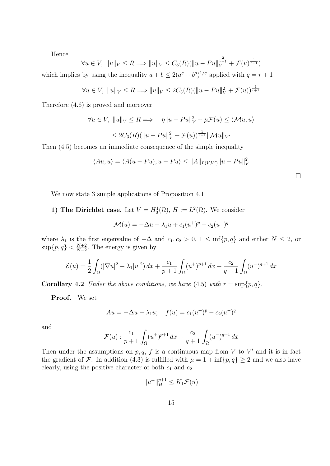Hence

$$
\forall u \in V, \ \|u\|_{V} \le R \Longrightarrow \|u\|_{V} \le C_{3}(R)(\|u - Pu\|_{V}^{\frac{2}{r+1}} + \mathcal{F}(u)^{\frac{1}{r+1}})
$$

which implies by using the inequality  $a + b \leq 2(a^q + b^q)^{1/q}$  applied with  $q = r + 1$ 

$$
\forall u \in V, \ \|u\|_{V} \le R \Longrightarrow \|u\|_{V} \le 2C_{3}(R)(\|u - Pu\|_{V}^{2} + \mathcal{F}(u))^{\frac{1}{r+1}}
$$

Therefore (4.6) is proved and moreover

$$
\forall u \in V, \ \|u\|_{V} \le R \Longrightarrow \eta \|u - Pu\|_{V}^{2} + \mu \mathcal{F}(u) \le \langle \mathcal{M}u, u \rangle
$$
  

$$
\le 2C_{3}(R)(\|u - Pu\|_{V}^{2} + \mathcal{F}(u))^{\frac{1}{r+1}} \|\mathcal{M}u\|_{V'}
$$

Then (4.5) becomes an immediate consequence of the simple inequality

$$
\langle Au, u \rangle = \langle A(u - Pu), u - Pu \rangle \le ||A||_{L(V,V')} ||u - Pu||_V^2
$$

We now state 3 simple applications of Proposition 4.1

### 1) The Dirichlet case. Let  $V = H_0^1(\Omega)$ ,  $H := L^2(\Omega)$ . We consider

$$
\mathcal{M}(u) = -\Delta u - \lambda_1 u + c_1 (u^+)^p - c_2 (u^-)^q
$$

where  $\lambda_1$  is the first eigenvalue of  $-\Delta$  and  $c_1, c_2 > 0$ ,  $1 \le \inf\{p, q\}$  and either  $N \le 2$ , or  $\sup\{p,q\} < \frac{N+2}{N-2}$  $\frac{N+2}{N-2}$ . The energy is given by

$$
\mathcal{E}(u) = \frac{1}{2} \int_{\Omega} (|\nabla u|^2 - \lambda_1 |u|^2) \, dx + \frac{c_1}{p+1} \int_{\Omega} (u^+)^{p+1} \, dx + \frac{c_2}{q+1} \int_{\Omega} (u^-)^{q+1} \, dx
$$

**Corollary 4.2** Under the above conditions, we have (4.5) with  $r = \sup\{p, q\}.$ 

Proof. We set

$$
Au = -\Delta u - \lambda_1 u; \quad f(u) = c_1 (u^+)^p - c_2 (u^-)^q
$$

and

$$
\mathcal{F}(u) : \frac{c_1}{p+1} \int_{\Omega} (u^+)^{p+1} \, dx + \frac{c_2}{q+1} \int_{\Omega} (u^-)^{q+1} \, dx
$$

Then under the assumptions on  $p, q, f$  is a continuous map from V to V' and it is in fact the gradient of F. In addition (4.3) is fulfilled with  $\mu = 1 + \inf\{p, q\} \ge 2$  and we also have clearly, using the positive character of both  $c_1$  and  $c_2$ 

$$
||u^+||_H^{p+1} \le K_1 \mathcal{F}(u)
$$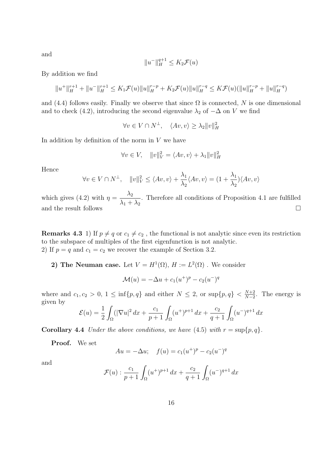and

$$
||u^-||_H^{q+1} \le K_2 \mathcal{F}(u)
$$

By addition we find

$$
||u^+||_H^{r+1} + ||u^-||_H^{r+1} \le K_1 \mathcal{F}(u)||u||_H^{r-p} + K_2 \mathcal{F}(u)||u||_H^{r-q} \le K \mathcal{F}(u)(||u||_H^{r-p} + ||u||_H^{r-q})
$$

and (4.4) follows easily. Finally we observe that since  $\Omega$  is connected, N is one dimensional and to check (4.2), introducing the second eigenvalue  $\lambda_2$  of  $-\Delta$  on V we find

 $\forall v \in V \cap N^{\perp}, \quad \langle Av, v \rangle \geq \lambda_2 ||v||_H^2$ 

In addition by definition of the norm in  $V$  we have

$$
\forall v \in V, \quad ||v||_V^2 = \langle Av, v \rangle + \lambda_1 ||v||_H^2
$$

Hence

$$
\forall v \in V \cap N^{\perp}, \quad ||v||_V^2 \le \langle Av, v \rangle + \frac{\lambda_1}{\lambda_2} \langle Av, v \rangle = (1 + \frac{\lambda_1}{\lambda_2}) \langle Av, v \rangle
$$

which gives (4.2) with  $\eta = \frac{\lambda_2}{\lambda_1}$  $\lambda_1 + \lambda_2$ . Therefore all conditions of Proposition 4.1 are fulfilled and the result follows  $\hfill \square$ 

**Remarks 4.3** 1) If  $p \neq q$  or  $c_1 \neq c_2$ , the functional is not analytic since even its restriction to the subspace of multiples of the first eigenfunction is not analytic. 2) If  $p = q$  and  $c_1 = c_2$  we recover the example of Section 3.2.

2) The Neuman case. Let  $V = H^1(\Omega)$ ,  $H := L^2(\Omega)$ . We consider

$$
\mathcal{M}(u) = -\Delta u + c_1 (u^+)^p - c_2 (u^-)^q
$$

where and  $c_1, c_2 > 0, 1 \le \inf\{p, q\}$  and either  $N \le 2$ , or  $\sup\{p, q\} < \frac{N+2}{N-2}$  $\frac{N+2}{N-2}$ . The energy is given by

$$
\mathcal{E}(u) = \frac{1}{2} \int_{\Omega} (|\nabla u|^2 \, dx + \frac{c_1}{p+1} \int_{\Omega} (u^+)^{p+1} \, dx + \frac{c_2}{q+1} \int_{\Omega} (u^-)^{q+1} \, dx
$$

**Corollary 4.4** Under the above conditions, we have (4.5) with  $r = \sup\{p, q\}.$ 

Proof. We set

$$
Au = -\Delta u; \quad f(u) = c_1(u^+)^p - c_2(u^-)^q
$$

and

$$
\mathcal{F}(u) : \frac{c_1}{p+1} \int_{\Omega} (u^+)^{p+1} \, dx + \frac{c_2}{q+1} \int_{\Omega} (u^-)^{q+1} \, dx
$$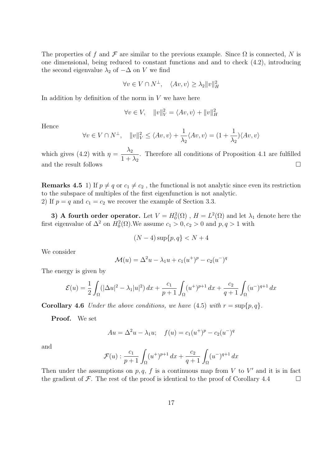The properties of f and F are similar to the previous example. Since  $\Omega$  is connected, N is one dimensional, being reduced to constant functions and and to check (4.2), introducing the second eigenvalue  $\lambda_2$  of  $-\Delta$  on V we find

$$
\forall v \in V \cap N^{\perp}, \quad \langle Av, v \rangle \ge \lambda_2 ||v||_H^2
$$

In addition by definition of the norm in  $V$  we have here

$$
\forall v \in V, \quad ||v||_V^2 = \langle Av, v \rangle + ||v||_H^2
$$

Hence

$$
\forall v \in V \cap N^{\perp}, \quad ||v||_V^2 \le \langle Av, v \rangle + \frac{1}{\lambda_2} \langle Av, v \rangle = (1 + \frac{1}{\lambda_2}) \langle Av, v \rangle
$$

which gives (4.2) with  $\eta = \frac{\lambda_2}{1+\lambda_1}$  $1 + \lambda_2$ . Therefore all conditions of Proposition 4.1 are fulfilled and the result follows  $\Box$ 

**Remarks 4.5** 1) If  $p \neq q$  or  $c_1 \neq c_2$ , the functional is not analytic since even its restriction to the subspace of multiples of the first eigenfunction is not analytic. 2) If  $p = q$  and  $c_1 = c_2$  we recover the example of Section 3.3.

3) A fourth order operator. Let  $V = H_0^2(\Omega)$ ,  $H = L^2(\Omega)$  and let  $\lambda_1$  denote here the first eigenvalue of  $\Delta^2$  on  $H_0^2(\Omega)$ . We assume  $c_1 > 0, c_2 > 0$  and  $p, q > 1$  with

$$
(N-4)\sup\{p,q\} < N+4
$$

We consider

$$
\mathcal{M}(u) = \Delta^2 u - \lambda_1 u + c_1 (u^+)^p - c_2 (u^-)^q
$$

The energy is given by

$$
\mathcal{E}(u) = \frac{1}{2} \int_{\Omega} (|\Delta u|^2 - \lambda_1 |u|^2) \, dx + \frac{c_1}{p+1} \int_{\Omega} (u^+)^{p+1} \, dx + \frac{c_2}{q+1} \int_{\Omega} (u^-)^{q+1} \, dx
$$

**Corollary 4.6** Under the above conditions, we have (4.5) with  $r = \sup\{p, q\}$ .

Proof. We set

$$
Au = \Delta^2 u - \lambda_1 u; \quad f(u) = c_1 (u^+)^p - c_2 (u^-)^q
$$

and

$$
\mathcal{F}(u): \frac{c_1}{p+1} \int_{\Omega} (u^+)^{p+1} \, dx + \frac{c_2}{q+1} \int_{\Omega} (u^-)^{q+1} \, dx
$$

Then under the assumptions on  $p, q, f$  is a continuous map from V to V' and it is in fact the gradient of  $\mathcal F$ . The rest of the proof is identical to the proof of Corollary 4.4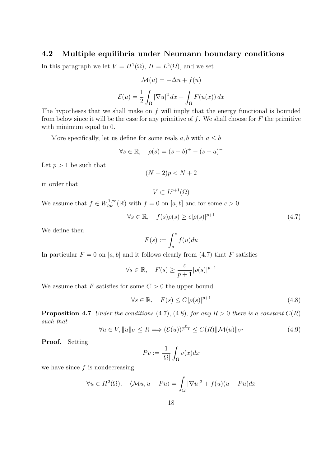### 4.2 Multiple equilibria under Neumann boundary conditions

In this paragraph we let  $V = H^1(\Omega)$ ,  $H = L^2(\Omega)$ , and we set

$$
\mathcal{M}(u) = -\Delta u + f(u)
$$

$$
\mathcal{E}(u) = \frac{1}{2} \int_{\Omega} |\nabla u|^2 dx + \int_{\Omega} F(u(x)) dx
$$

The hypotheses that we shall make on  $f$  will imply that the energy functional is bounded from below since it will be the case for any primitive of  $f$ . We shall choose for  $F$  the primitive with minimum equal to 0.

More specifically, let us define for some reals  $a, b$  with  $a \leq b$ 

$$
\forall s \in \mathbb{R}, \quad \rho(s) = (s - b)^+ - (s - a)^-
$$

Let  $p > 1$  be such that

$$
(N-2)p < N+2
$$

in order that

$$
V \subset L^{p+1}(\Omega)
$$

We assume that  $f \in W^{1,\infty}_{loc}(\mathbb{R})$  with  $f = 0$  on  $[a, b]$  and for some  $c > 0$ 

$$
\forall s \in \mathbb{R}, \quad f(s)\rho(s) \ge c|\rho(s)|^{p+1} \tag{4.7}
$$

We define then

$$
F(s) := \int_{a}^{s} f(u) du
$$

In particular  $F = 0$  on [a, b] and it follows clearly from (4.7) that F satisfies

$$
\forall s \in \mathbb{R}, \quad F(s) \ge \frac{c}{p+1} |\rho(s)|^{p+1}
$$

We assume that F satisfies for some  $C > 0$  the upper bound

$$
\forall s \in \mathbb{R}, \quad F(s) \le C|\rho(s)|^{p+1} \tag{4.8}
$$

**Proposition 4.7** Under the conditions (4.7), (4.8), for any  $R > 0$  there is a constant  $C(R)$ such that

$$
\forall u \in V, \|u\|_{V} \le R \Longrightarrow (\mathcal{E}(u))^{\frac{p}{p+1}} \le C(R) \|\mathcal{M}(u)\|_{V'} \tag{4.9}
$$

Proof. Setting

$$
Pv := \frac{1}{|\Omega|} \int_{\Omega} v(x) dx
$$

we have since  $f$  is nondecreasing

$$
\forall u \in H^{2}(\Omega), \quad \langle \mathcal{M}u, u - Pu \rangle = \int_{\Omega} |\nabla u|^{2} + f(u)(u - Pu) dx
$$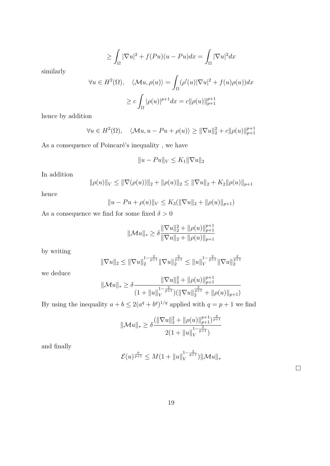$$
\geq \int_{\Omega} |\nabla u|^2 + f(Pu)(u - Pu)dx = \int_{\Omega} |\nabla u|^2 dx
$$

similarly

$$
\forall u \in H^{2}(\Omega), \quad \langle \mathcal{M}u, \rho(u) \rangle = \int_{\Omega} (\rho'(u)|\nabla u|^{2} + f(u)\rho(u))dx
$$

$$
\geq c \int_{\Omega} |\rho(u)|^{p+1} dx = c||\rho(u)||_{p+1}^{p+1}
$$

hence by addition

$$
\forall u \in H^2(\Omega), \quad \langle \mathcal{M}u, u - Pu + \rho(u) \rangle \ge ||\nabla u||_2^2 + c||\rho(u)||_{p+1}^{p+1}
$$

As a consequence of Poincaré's inequality, we have

$$
||u - Pu||_V \le K_1 ||\nabla u||_2
$$

In addition

$$
\|\rho(u)\|_{V} \le \|\nabla(\rho(u))\|_{2} + \|\rho(u)\|_{2} \le \|\nabla u\|_{2} + K_{2} \|\rho(u)\|_{p+1}
$$

hence

$$
||u - Pu + \rho(u)||_V \le K_3(||\nabla u||_2 + ||\rho(u)||_{p+1})
$$

As a consequence we find for some fixed  $\delta>0$ 

$$
\|\mathcal{M}u\|_{*} \geq \delta \frac{\|\nabla u\|_{2}^{2} + \|\rho(u)\|_{p+1}^{p+1}}{\|\nabla u\|_{2} + \|\rho(u)\|_{p+1}}
$$

by writing

$$
\|\nabla u\|_2 \le \|\nabla u\|_2^{1-\frac{2}{p+1}} \|\nabla u\|_2^{\frac{2}{p+1}} \le \|u\|_V^{1-\frac{2}{p+1}} \|\nabla u\|_2^{\frac{2}{p+1}}
$$

we deduce

$$
\|\mathcal{M}u\|_{*} \geq \delta \frac{\|\nabla u\|_{2}^{2} + \|\rho(u)\|_{p+1}^{p+1}}{(1 + \|u\|_{V}^{1-\frac{2}{p+1}})(\|\nabla u\|_{2}^{\frac{2}{p+1}} + \|\rho(u)\|_{p+1})}
$$

By using the inequality  $a + b \leq 2(a^q + b^q)^{1/q}$  applied with  $q = p + 1$  we find

$$
\|\mathcal{M}u\|_{*}\geq\delta\frac{(\|\nabla u\|_{2}^{2}+\|\rho(u)\|_{p+1}^{p+1})^{\frac{p}{p+1}}}{2(1+\|u\|_{V}^{1-\frac{2}{p+1}})}
$$

and finally

$$
\mathcal{E}(u)^{\frac{p}{p+1}} \leq M(1 + \|u\|_{V}^{1-\frac{2}{p+1}})\|\mathcal{M}u\|_{*}
$$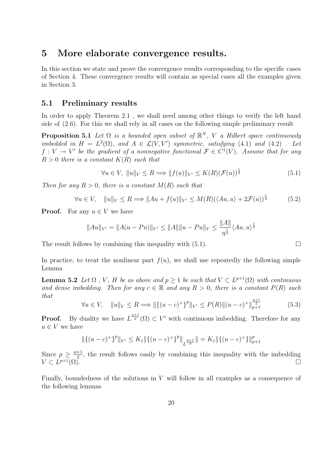### 5 More elaborate convergence results.

In this section we state and prove the convergence results corresponding to the specific cases of Section 4. These convergence results will contain as special cases all the examples given in Section 3.

### 5.1 Preliminary results

In order to apply Theorem 2.1, we shall need among other things to verify the left hand side of (2.6). For this we shall rely in all cases on the following simple preliminary result

**Proposition 5.1** Let  $\Omega$  is a bounded open subset of  $\mathbb{R}^N$ , V a Hilbert space continuously imbedded in  $H = L^2(\Omega)$ , and  $A \in \mathcal{L}(V, V')$  symmetric, satisfying (4.1) and (4.2). Let  $f: V \to V'$  be the gradient of a nonnegative functional  $\mathcal{F} \in C^1(V)$ . Assume that for any  $R > 0$  there is a constant  $K(R)$  such that

$$
\forall u \in V, \ \|u\|_{V} \le R \Longrightarrow \|f(u)\|_{V'} \le K(R)(\mathcal{F}(u))^{\frac{1}{2}} \tag{5.1}
$$

Then for any  $R > 0$ , there is a constant  $M(R)$  such that

$$
\forall u \in V, \quad \|u\|_{V} \le R \Longrightarrow \|Au + f(u)\|_{V'} \le M(R)(\langle Au, u \rangle + 2\mathcal{F}(u))^{\frac{1}{2}} \tag{5.2}
$$

**Proof.** For any  $u \in V$  we have

$$
||Au||_{V'} = ||A(u - Pu)||_{V'} \le ||A|| ||u - Pu||_{V} \le \frac{||A||}{\eta^{\frac{1}{2}}} \langle Au, u \rangle^{\frac{1}{2}}
$$

The result follows by combining this inequality with  $(5.1)$ .

In practice, to treat the nonlinear part  $f(u)$ , we shall use repeatedly the following simple Lemma

**Lemma 5.2** Let  $\Omega$ , V, H be as above and  $p \geq 1$  be such that  $V \subset L^{p+1}(\Omega)$  with continuous and dense imbedding. Then for any  $c \in \mathbb{R}$  and any  $R > 0$ , there is a constant  $P(R)$  such that  $n+1$ 

$$
\forall u \in V, \quad \|u\|_{V} \le R \Longrightarrow \|\{(u-c)^{+}\}^{p}\|_{V'} \le P(R)\|(u-c)^{+}\|_{p+1}^{\frac{p+1}{2}} \tag{5.3}
$$

**Proof.** By duality we have  $L^{\frac{p+1}{p}}(\Omega) \subset V'$  with continuous imbedding. Therefore for any  $u \in V$  we have

$$
\|\{(u-c)^+\}^p\|_{V'} \le K_1 \|\{(u-c)^+\}^p\|_{L^{\frac{p+1}{p}}}\| = K_1 \|\{(u-c)^+\}\|_{p+1}^p
$$

Since  $p \geq \frac{p+1}{2}$  $\frac{+1}{2}$ , the result follows easily by combining this inequality with the imbedding  $V \subset L^{p+1}(\Omega)$ .  $p+1(\Omega)$ .

Finally, boundedness of the solutions in V will follow in all examples as a consequence of the following lemmas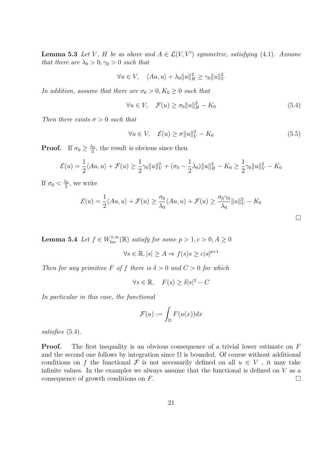**Lemma 5.3** Let V, H be as above and  $A \in \mathcal{L}(V, V')$  symmetric, satisfying (4.1). Assume that there are  $\lambda_0 > 0, \gamma_0 > 0$  such that

$$
\forall u \in V, \quad \langle Au, u \rangle + \lambda_0 \|u\|_H^2 \ge \gamma_0 \|u\|_V^2
$$

In addition, assume that there are  $\sigma_0 > 0, K_0 \geq 0$  such that

$$
\forall u \in V, \quad \mathcal{F}(u) \ge \sigma_0 \|u\|_H^2 - K_0 \tag{5.4}
$$

Then there exists  $\sigma > 0$  such that

$$
\forall u \in V, \quad \mathcal{E}(u) \ge \sigma ||u||_V^2 - K_0 \tag{5.5}
$$

**Proof.** If  $\sigma_0 \geq \frac{\lambda_0}{2}$  $\frac{\lambda_0}{2}$ , the result is obvious since then

$$
\mathcal{E}(u) = \frac{1}{2} \langle Au, u \rangle + \mathcal{F}(u) \ge \frac{1}{2} \gamma_0 \|u\|_V^2 + (\sigma_0 - \frac{1}{2} \lambda_0) \|u\|_H^2 - K_0 \ge \frac{1}{2} \gamma_0 \|u\|_V^2 - K_0
$$

If  $\sigma_0 < \frac{\lambda_0}{2}$  $\frac{\lambda_0}{2}$ , we write

$$
\mathcal{E}(u) = \frac{1}{2} \langle Au, u \rangle + \mathcal{F}(u) \ge \frac{\sigma_0}{\lambda_0} \langle Au, u \rangle + \mathcal{F}(u) \ge \frac{\sigma_0 \gamma_0}{\lambda_0} ||u||_V^2 - K_0
$$

**Lemma 5.4** Let  $f \in W_{loc}^{1,\infty}(\mathbb{R})$  satisfy for some  $p > 1, c > 0, A \geq 0$ 

$$
\forall s \in \mathbb{R}, |s| \ge A \Rightarrow f(s)s \ge c|s|^{p+1}
$$

Then for any primitive F of f there is  $\delta > 0$  and  $C > 0$  for which

$$
\forall s \in \mathbb{R}, \quad F(s) \ge \delta |s|^2 - C
$$

In particular in this case, the functional

$$
\mathcal{F}(u) := \int_{\Omega} F(u(x)) dx
$$

satisfies (5.4).

**Proof.** The first inequality is an obvious consequence of a trivial lower estimate on F and the second one follows by integration since  $\Omega$  is bounded. Of course without additional conditions on f the functional F is not necessarily defined on all  $u \in V$ , it may take infinite values. In the examples we always assume that the functional is defined on V as a consequence of growth conditions on  $F$ .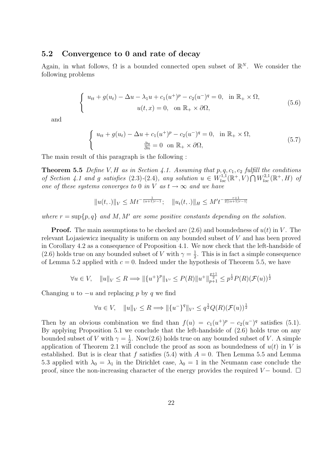### 5.2 Convergence to 0 and rate of decay

Again, in what follows,  $\Omega$  is a bounded connected open subset of  $\mathbb{R}^N$ . We consider the following problems

$$
\begin{cases}\n u_{tt} + g(u_t) - \Delta u - \lambda_1 u + c_1 (u^+)^p - c_2 (u^-)^q = 0, & \text{in } \mathbb{R}_+ \times \Omega, \\
 u(t, x) = 0, & \text{on } \mathbb{R}_+ \times \partial \Omega,\n\end{cases}
$$
\n(5.6)

and

$$
\begin{cases}\n u_{tt} + g(u_t) - \Delta u + c_1 (u^+)^p - c_2 (u^-)^q = 0, & \text{in } \mathbb{R}_+ \times \Omega, \\
 \frac{\partial u}{\partial n} = 0 & \text{on } \mathbb{R}_+ \times \partial \Omega,\n\end{cases}
$$
\n(5.7)

The main result of this paragraph is the following :

**Theorem 5.5** Define V, H as in Section 4.1. Assuming that  $p, q, c_1, c_2$  fulfill the conditions of Section 4.1 and g satisfies (2.3)-(2.4), any solution  $u \in W_{loc}^{1,1}(\mathbb{R}^+, V) \cap W_{loc}^{2,1}(\mathbb{R}^+, H)$  of one of these systems converges to 0 in V as  $t \to \infty$  and we have

$$
||u(t,.)||_V \leq Mt^{-\frac{1}{(\alpha+1)r-1}}; \quad ||u_t(t,.)||_H \leq M't^{-\frac{r+1}{2[(\alpha+1)r-1]}}
$$

where  $r = \sup\{p, q\}$  and M, M' are some positive constants depending on the solution.

**Proof.** The main assumptions to be checked are  $(2.6)$  and boundedness of  $u(t)$  in V. The relevant Lojasiewicz inequality is uniform on any bounded subset of V and has been proved in Corollary 4.2 as a consequence of Proposition 4.1. We now check that the left-handside of (2.6) holds true on any bounded subset of V with  $\gamma = \frac{1}{2}$  $\frac{1}{2}$ . This is in fact a simple consequence of Lemma 5.2 applied with  $c = 0$ . Indeed under the hypothesis of Theorem 5.5, we have

$$
\forall u \in V, \quad ||u||_V \le R \Longrightarrow ||\{u^+\}^p||_{V'} \le P(R)||u^+||_{p+1}^{\frac{p+1}{2}} \le p^{\frac{1}{2}}P(R)(\mathcal{F}(u))^{\frac{1}{2}}
$$

Changing u to  $-u$  and replacing p by q we find

$$
\forall u \in V, \quad ||u||_V \le R \Longrightarrow ||\{u^-\}^q||_{V'} \le q^{\frac{1}{2}}Q(R)(\mathcal{F}(u))^{\frac{1}{2}}
$$

Then by an obvious combination we find than  $f(u) = c_1(u^+)^p - c_2(u^-)^q$  satisfies (5.1). By applying Proposition 5.1 we conclude that the left-handside of (2.6) holds true on any bounded subset of V with  $\gamma = \frac{1}{2}$  $\frac{1}{2}$ . Now(2.6) holds true on any bounded subset of V. A simple application of Theorem 2.1 will conclude the proof as soon as boundedness of  $u(t)$  in V is established. But is is clear that f satisfies (5.4) with  $A = 0$ . Then Lemma 5.5 and Lemma 5.3 applied with  $\lambda_0 = \lambda_1$  in the Dirichlet case,  $\lambda_0 = 1$  in the Neumann case conclude the proof, since the non-increasing character of the energy provides the required  $V-$  bound.  $\Box$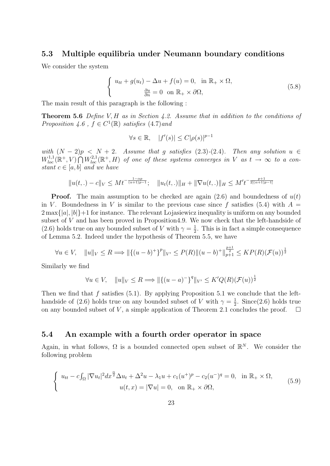### 5.3 Multiple equilibria under Neumann boundary conditions

We consider the system

$$
\begin{cases}\n u_{tt} + g(u_t) - \Delta u + f(u) = 0, & \text{in } \mathbb{R}_+ \times \Omega, \\
 \frac{\partial u}{\partial n} = 0 & \text{on } \mathbb{R}_+ \times \partial \Omega,\n\end{cases}
$$
\n(5.8)

The main result of this paragraph is the following :

**Theorem 5.6** Define V, H as in Section 4.2. Assume that in addition to the conditions of Proposition 4.6,  $f \in C^1(\mathbb{R})$  satisfies (4.7) and

$$
\forall s \in \mathbb{R}, \quad |f'(s)| \le C|\rho(s)|^{p-1}
$$

with  $(N-2)p < N+2$ . Assume that g satisfies (2.3)-(2.4). Then any solution  $u \in$  $W^{1,1}_{loc}(\mathbb{R}^+, V) \bigcap W^{2,1}_{loc}(\mathbb{R}^+, H)$  of one of these systems converges in V as  $t \to \infty$  to a constant  $c \in [a, b]$  and we have

$$
||u(t,.) - c||_V \leq Mt^{-\frac{1-\alpha p}{(\alpha+1)p-1}}; \quad ||u_t(t,.)||_H + ||\nabla u(t,.)||_H \leq M' t^{-\frac{p+1}{2[(\alpha+1)p-1]}}
$$

**Proof.** The main assumption to be checked are again (2.6) and boundedness of  $u(t)$ in V. Boundedness in V is similar to the previous case since f satisfies (5.4) with  $A =$  $2 \max\{|a|, |b|\}+1$  for instance. The relevant Lojasiewicz inequality is uniform on any bounded subset of V and has been proved in Proposition4.9. We now check that the left-handside of (2.6) holds true on any bounded subset of V with  $\gamma = \frac{1}{2}$  $\frac{1}{2}$ . This is in fact a simple consequence of Lemma 5.2. Indeed under the hypothesis of Theorem 5.5, we have

$$
\forall u \in V, \quad ||u||_V \le R \Longrightarrow ||\{(u-b)^+\}^p||_{V'} \le P(R)||(u-b)^+||_{p+1}^{\frac{p+1}{2}} \le KP(R)(\mathcal{F}(u))^{\frac{1}{2}}
$$

Similarly we find

 $\ddot{\phantom{0}}$ 

$$
\forall u \in V, \quad ||u||_V \le R \Longrightarrow ||\{(u-a)^{-}\}^q||_{V'} \le K'Q(R)(\mathcal{F}(u))^{\frac{1}{2}}
$$

Then we find that f satisfies  $(5.1)$ . By applying Proposition 5.1 we conclude that the lefthandside of (2.6) holds true on any bounded subset of V with  $\gamma = \frac{1}{2}$  $\frac{1}{2}$ . Since(2.6) holds true on any bounded subset of V, a simple application of Theorem 2.1 concludes the proof.  $\Box$ 

#### 5.4 An example with a fourth order operator in space

Again, in what follows,  $\Omega$  is a bounded connected open subset of  $\mathbb{R}^N$ . We consider the following problem

$$
\begin{cases}\n u_{tt} - c \int_{\Omega} |\nabla u_t|^2 dx^{\frac{\alpha}{2}} \Delta u_t + \Delta^2 u - \lambda_1 u + c_1 (u^+)^p - c_2 (u^-)^q = 0, & \text{in } \mathbb{R}_+ \times \Omega, \\
 u(t, x) = |\nabla u| = 0, & \text{on } \mathbb{R}_+ \times \partial \Omega,\n\end{cases}
$$
\n(5.9)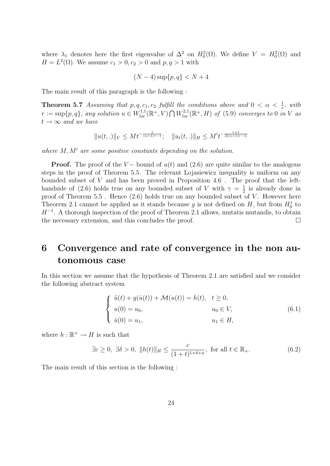where  $\lambda_1$  denotes here the first eigenvalue of  $\Delta^2$  on  $H_0^2(\Omega)$ . We define  $V = H_0^2(\Omega)$  and  $H = L^{2}(\Omega)$ . We assume  $c_1 > 0, c_2 > 0$  and  $p, q > 1$  with

$$
(N-4)\sup\{p,q\} < N+4
$$

The main result of this paragraph is the following :

**Theorem 5.7** Assuming that p, q, c<sub>1</sub>, c<sub>2</sub> fulfill the conditions above and  $0 < \alpha < \frac{1}{r}$ , with  $r := \sup\{p, q\}$ , any solution  $u \in W^{1,1}_{loc}(\mathbb{R}^+, V) \bigcap W^{2,1}_{loc}(\mathbb{R}^+, H)$  of (5.9) converges to 0 in V as  $t \rightarrow \infty$  and we have

$$
||u(t,.)||_V \leq Mt^{-\frac{1}{(\alpha+1)r-1}}; \quad ||u_t(t,.)||_H \leq M't^{-\frac{r+1}{2[(\alpha+1)r-1]}}
$$

where  $M, M'$  are some positive constants depending on the solution.

**Proof.** The proof of the V – bound of  $u(t)$  and (2.6) are quite similar to the analogous steps in the proof of Theorem 5.5. The relevant Lojasiewicz inequality is uniform on any bounded subset of  $V$  and has been proved in Proposition 4.6. The proof that the lefthandside of (2.6) holds true on any bounded subset of V with  $\gamma = \frac{1}{2}$  $\frac{1}{2}$  is already done in proof of Theorem 5.5. Hence  $(2.6)$  holds true on any bounded subset of V. However here Theorem 2.1 cannot be applied as it stands because g is not defined on H, but from  $H_0^1$  to  $H^{-1}$ . A thorough inspection of the proof of Theorem 2.1 allows, mutatis mutandis, to obtain the necessary extension, and this concludes the proof.

# 6 Convergence and rate of convergence in the non autonomous case

In this section we assume that the hypothesis of Theorem 2.1 are satisfied and we consider the following abstract system

$$
\begin{cases}\n\ddot{u}(t) + g(\dot{u}(t)) + \mathcal{M}(u(t)) = h(t), & t \ge 0, \\
u(0) = u_0, & u_0 \in V, \\
\dot{u}(0) = u_1, & u_1 \in H,\n\end{cases}
$$
\n(6.1)

where  $h : \mathbb{R}^+ \to H$  is such that

$$
\exists c \ge 0, \ \exists \delta > 0, \ \|h(t)\|_{H} \le \frac{c}{(1+t)^{1+\delta+\alpha}}, \text{ for all } t \in \mathbb{R}_{+}.
$$
 (6.2)

The main result of this section is the following :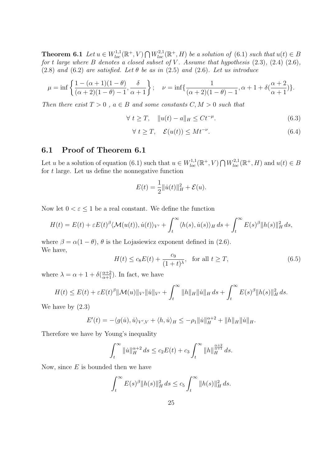**Theorem 6.1** Let  $u \in W_{loc}^{1,1}(\mathbb{R}^+, V) \cap W_{loc}^{2,1}(\mathbb{R}^+, H)$  be a solution of (6.1) such that  $u(t) \in B$ for t large where B denotes a closed subset of V. Assume that hypothesis  $(2.3)$ ,  $(2.4)$   $(2.6)$ , (2.8) and (6.2) are satisfied. Let  $\theta$  be as in (2.5) and (2.6). Let us introduce

$$
\mu = \inf \left\{ \frac{1 - (\alpha + 1)(1 - \theta)}{(\alpha + 2)(1 - \theta) - 1}, \frac{\delta}{\alpha + 1} \right\}; \quad \nu = \inf \left\{ \frac{1}{(\alpha + 2)(1 - \theta) - 1}, \alpha + 1 + \delta(\frac{\alpha + 2}{\alpha + 1}) \right\}.
$$

Then there exist  $T > 0$ ,  $a \in B$  and some constants  $C, M > 0$  such that

$$
\forall t \ge T, \quad \|u(t) - a\|_{H} \le Ct^{-\mu}.
$$
\n(6.3)

$$
\forall t \geq T, \quad \mathcal{E}(u(t)) \leq Mt^{-\nu}.\tag{6.4}
$$

### 6.1 Proof of Theorem 6.1

Let u be a solution of equation (6.1) such that  $u \in W_{loc}^{1,1}(\mathbb{R}^+, V) \cap W_{loc}^{2,1}(\mathbb{R}^+, H)$  and  $u(t) \in B$ for  $t$  large. Let us define the nonnegative function

$$
E(t) = \frac{1}{2} ||\dot{u}(t)||_H^2 + \mathcal{E}(u).
$$

Now let  $0 < \varepsilon < 1$  be a real constant. We define the function

$$
H(t) = E(t) + \varepsilon E(t)^{\beta} \langle \mathcal{M}(u(t)), \dot{u}(t) \rangle_{V'} + \int_{t}^{\infty} \langle h(s), \dot{u}(s) \rangle_{H} ds + \int_{t}^{\infty} E(s)^{\beta} ||h(s)||_{H}^{2} ds,
$$

where  $\beta = \alpha(1 - \theta)$ ,  $\theta$  is the Lojasiewicz exponent defined in (2.6). We have,

$$
H(t) \le c_8 E(t) + \frac{c_9}{(1+t)^\lambda}, \quad \text{for all } t \ge T,
$$
\n(6.5)

where  $\lambda = \alpha + 1 + \delta(\frac{\alpha+2}{\alpha+1})$ . In fact, we have

$$
H(t) \le E(t) + \varepsilon E(t)^{\beta} \|\mathcal{M}(u)\|_{V'} \| \dot{u} \|_{V'} + \int_{t}^{\infty} \|h\|_{H} \|\dot{u}\|_{H} ds + \int_{t}^{\infty} E(s)^{\beta} \|h(s)\|_{H}^{2} ds.
$$

We have by (2.3)

$$
E'(t) = -\langle g(\dot{u}), \dot{u} \rangle_{V',V} + \langle h, \dot{u} \rangle_H \le -\rho_1 \| \dot{u} \|_{H}^{\alpha+2} + \| h \|_{H} \| \dot{u} \|_{H}.
$$

Therefore we have by Young's inequality

$$
\int_{t}^{\infty} \|\dot{u}\|_{H}^{\alpha+2} ds \le c_2 E(t) + c_3 \int_{t}^{\infty} \|h\|_{H}^{\frac{\alpha+2}{\alpha+1}} ds.
$$

Now, since  $E$  is bounded then we have

$$
\int_t^{\infty} E(s)^{\beta} ||h(s)||_H^2 ds \le c_5 \int_t^{\infty} ||h(s)||_H^2 ds.
$$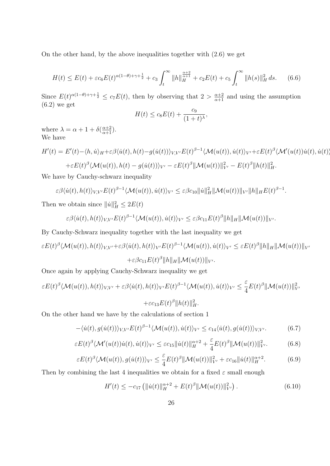On the other hand, by the above inequalities together with (2.6) we get

$$
H(t) \le E(t) + \varepsilon c_6 E(t)^{\alpha(1-\theta)+\gamma+\frac{1}{2}} + c_3 \int_t^{\infty} ||h||_H^{\frac{\alpha+2}{\alpha+1}} + c_2 E(t) + c_5 \int_t^{\infty} ||h(s)||_H^2 ds.
$$
 (6.6)

Since  $E(t)^{\alpha(1-\theta)+\gamma+\frac{1}{2}} \leq c_7 E(t)$ , then by observing that  $2 > \frac{\alpha+2}{\alpha+1}$  and using the assumption (6.2) we get

$$
H(t) \le c_8 E(t) + \frac{c_9}{(1+t)^\lambda},
$$

where  $\lambda = \alpha + 1 + \delta(\frac{\alpha+2}{\alpha+1}).$ We have

$$
H'(t) = E'(t) - \langle h, \dot{u} \rangle_H + \varepsilon \beta \langle \dot{u}(t), h(t) - g(\dot{u}(t)) \rangle_{V,V'} E(t)^{\beta - 1} \langle \mathcal{M}(u(t)), \dot{u}(t) \rangle_{V'} + \varepsilon E(t)^{\beta} \langle \mathcal{M}'(u(t))\dot{u}(t), \dot{u}(t) \rangle
$$
  
 
$$
+ \varepsilon E(t)^{\beta} \langle \mathcal{M}(u(t)), h(t) - g(\dot{u}(t)) \rangle_{V'} - \varepsilon E(t)^{\beta} ||\mathcal{M}(u(t))||_{V'}^2 - E(t)^{\beta} ||h(t)||_H^2.
$$

We have by Cauchy-schwarz inequality

$$
\varepsilon \beta \langle \dot{u}(t), h(t) \rangle_{V,V'} E(t)^{\beta-1} \langle \mathcal{M}(u(t)), \dot{u}(t) \rangle_{V'} \leq \varepsilon \beta c_{10} \|\dot{u}\|_{H}^2 \|\mathcal{M}(u(t))\|_{V'} \|h\|_{H} E(t)^{\beta-1}.
$$

Then we obtain since  $||\dot{u}||_H^2 \leq 2E(t)$ 

$$
\varepsilon \beta \langle \dot{u}(t), h(t) \rangle_{V,V'} E(t)^{\beta-1} \langle \mathcal{M}(u(t)), \dot{u}(t) \rangle_{V'} \leq \varepsilon \beta c_{11} E(t)^{\beta} ||h||_H ||\mathcal{M}(u(t))||_{V'}.
$$

By Cauchy-Schwarz inequality together with the last inequality we get

$$
\varepsilon E(t)^{\beta} \langle \mathcal{M}(u(t)), h(t) \rangle_{V,V'} + \varepsilon \beta \langle \dot{u}(t), h(t) \rangle_{V'} E(t)^{\beta - 1} \langle \mathcal{M}(u(t)), \dot{u}(t) \rangle_{V'} \le \varepsilon E(t)^{\beta} ||h||_H ||\mathcal{M}(u(t))||_{V'} + \varepsilon \beta c_{11} E(t)^{\beta} ||h||_H ||\mathcal{M}(u(t))||_{V'}.
$$

Once again by applying Cauchy-Schwarz inequality we get

$$
\varepsilon E(t)^{\beta} \langle \mathcal{M}(u(t)), h(t) \rangle_{V,V'} + \varepsilon \beta \langle \dot{u}(t), h(t) \rangle_{V'} E(t)^{\beta - 1} \langle \mathcal{M}(u(t)), \dot{u}(t) \rangle_{V'} \leq \frac{\varepsilon}{4} E(t)^{\beta} \|\mathcal{M}(u(t))\|_{V'}^2
$$

$$
+ \varepsilon c_{13} E(t)^{\beta} \|h(t)\|_{H}^2.
$$

On the other hand we have by the calculations of section 1

$$
-\langle \dot{u}(t), g(\dot{u}(t)) \rangle_{V,V'} E(t)^{\beta-1} \langle \mathcal{M}(u(t)), \dot{u}(t) \rangle_{V'} \le c_{14} \langle \dot{u}(t), g(\dot{u}(t)) \rangle_{V,V'}.
$$
 (6.7)

$$
\varepsilon E(t)^{\beta} \langle \mathcal{M}'(u(t))\dot{u}(t), \dot{u}(t) \rangle_{V'} \leq \varepsilon c_{15} \|\dot{u}(t)\|_{H}^{\alpha+2} + \frac{\varepsilon}{4} E(t)^{\beta} \|\mathcal{M}(u(t))\|_{V'}^2.
$$
 (6.8)

$$
\varepsilon E(t)^{\beta} \langle \mathcal{M}(u(t)), g(\dot{u}(t)) \rangle_{V'} \leq \frac{\varepsilon}{4} E(t)^{\beta} \|\mathcal{M}(u(t))\|_{V'}^2 + \varepsilon c_{16} \|\dot{u}(t)\|_{H}^{\alpha+2}.
$$
 (6.9)

Then by combining the last 4 inequalities we obtain for a fixed  $\varepsilon$  small enough

$$
H'(t) \le -c_{17} \left( \|\dot{u}(t)\|_{H}^{\alpha+2} + E(t)^{\beta} \|\mathcal{M}(u(t))\|_{V'}^2 \right). \tag{6.10}
$$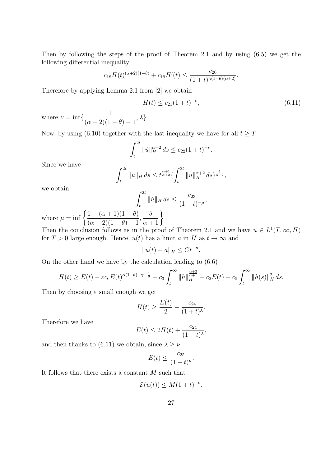Then by following the steps of the proof of Theorem 2.1 and by using (6.5) we get the following differential inequality

$$
c_{18}H(t)^{(\alpha+2)(1-\theta)} + c_{19}H'(t) \le \frac{c_{20}}{(1+t)^{\lambda(1-\theta)(\alpha+2)}}.
$$

Therefore by applying Lemma 2.1 from [2] we obtain

$$
H(t) \le c_{21}(1+t)^{-\nu},\tag{6.11}
$$

where  $\nu = \inf \left\{ \frac{1}{(1 + \Omega)(1 - \Omega)} \right\}$  $(\alpha + 2)(1 - \theta) - 1$  $, \lambda\}.$ 

Now, by using (6.10) together with the last inequality we have for all  $t \geq T$ 

$$
\int_{t}^{2t} \|\dot{u}\|_{H}^{\alpha+2} ds \leq c_{22} (1+t)^{-\nu}.
$$

Since we have

$$
\int_{t}^{2t} ||\dot{u}||_{H} ds \leq t^{\frac{\alpha+1}{\alpha+2}} \left( \int_{t}^{2t} ||\dot{u}||_{H}^{\alpha+2} ds \right)^{\frac{1}{\alpha+2}},
$$

we obtain

$$
\int_{t}^{2t} \|\dot{u}\|_{H} ds \leq \frac{c_{23}}{(1+t)^{-\mu}},
$$

.

where  $\mu = \inf \left\{ \frac{1 - (\alpha + 1)(1 - \theta)}{\frac{1}{(\alpha + 1)(1 - \theta)} \cdot \frac{1}{(\alpha + 1)(1 - \theta)}} \right\}$  $(\alpha + 2)(1 - \theta) - 1$ ,  $\frac{\delta}{\alpha+1}$ 

Then the conclusion follows as in the proof of Theorem 2.1 and we have  $\dot{u} \in L^1(T, \infty, H)$ for  $T > 0$  large enough. Hence,  $u(t)$  has a limit a in H as  $t \to \infty$  and

$$
||u(t) - a||_H \leq Ct^{-\mu}.
$$

On the other hand we have by the calculation leading to (6.6)

$$
H(t) \ge E(t) - \varepsilon c_6 E(t)^{\alpha(1-\theta)+\gamma-\frac{1}{2}} - c_3 \int_t^{\infty} ||h||_H^{\frac{\alpha+2}{\alpha+1}} - c_2 E(t) - c_5 \int_t^{\infty} ||h(s)||_H^2 ds.
$$

Then by choosing  $\varepsilon$  small enough we get

$$
H(t) \ge \frac{E(t)}{2} - \frac{c_{24}}{(1+t)^{\lambda}}.
$$

Therefore we have

$$
E(t) \le 2H(t) + \frac{c_{24}}{(1+t)^{\lambda}},
$$

and then thanks to (6.11) we obtain, since  $\lambda \geq \nu$ 

$$
E(t) \le \frac{c_{25}}{(1+t)^{\nu}}.
$$

It follows that there exists a constant  $M$  such that

$$
\mathcal{E}(u(t)) \leq M(1+t)^{-\nu}.
$$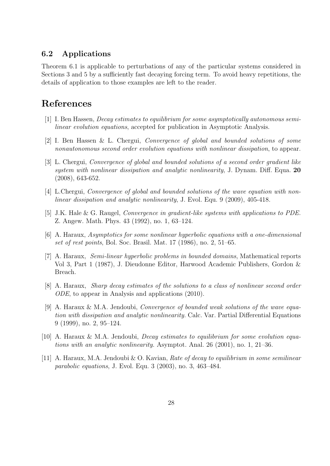### 6.2 Applications

Theorem 6.1 is applicable to perturbations of any of the particular systems considered in Sections 3 and 5 by a sufficiently fast decaying forcing term. To avoid heavy repetitions, the details of application to those examples are left to the reader.

# References

- [1] I. Ben Hassen, Decay estimates to equilibrium for some asymptotically autonomous semilinear evolution equations, accepted for publication in Asymptotic Analysis.
- [2] I. Ben Hassen & L. Chergui, Convergence of global and bounded solutions of some nonautonomous second order evolution equations with nonlinear dissipation, to appear.
- [3] L. Chergui, Convergence of global and bounded solutions of a second order gradient like system with nonlinear dissipation and analytic nonlinearity, J. Dynam. Diff. Equa. 20 (2008), 643-652.
- [4] L.Chergui, Convergence of global and bounded solutions of the wave equation with nonlinear dissipation and analytic nonlinearity, J. Evol. Equ. 9 (2009), 405-418.
- [5] J.K. Hale & G. Raugel, *Convergence in gradient-like systems with applications to PDE*. Z. Angew. Math. Phys. 43 (1992), no. 1, 63–124.
- [6] A. Haraux, Asymptotics for some nonlinear hyperbolic equations with a one-dimensional set of rest points, Bol. Soc. Brasil. Mat. 17 (1986), no. 2, 51–65.
- [7] A. Haraux, Semi-linear hyperbolic problems in bounded domains, Mathematical reports Vol 3, Part 1 (1987), J. Dieudonne Editor, Harwood Academic Publishers, Gordon & Breach.
- [8] A. Haraux, Sharp decay estimates of the solutions to a class of nonlinear second order ODE, to appear in Analysis and applications (2010).
- [9] A. Haraux & M.A. Jendoubi, Convergence of bounded weak solutions of the wave equation with dissipation and analytic nonlinearity. Calc. Var. Partial Differential Equations 9 (1999), no. 2, 95–124.
- [10] A. Haraux & M.A. Jendoubi, *Decay estimates to equilibrium for some evolution equa*tions with an analytic nonlinearity. Asymptot. Anal. 26 (2001), no. 1, 21–36.
- [11] A. Haraux, M.A. Jendoubi & O. Kavian, Rate of decay to equilibrium in some semilinear parabolic equations, J. Evol. Equ. 3 (2003), no. 3, 463–484.